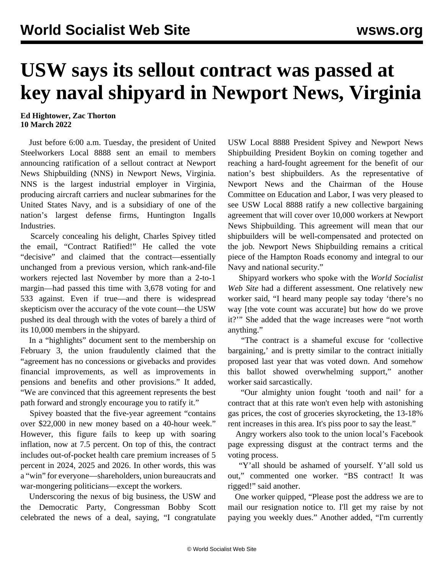## **USW says its sellout contract was passed at key naval shipyard in Newport News, Virginia**

## **Ed Hightower, Zac Thorton 10 March 2022**

 Just before 6:00 a.m. Tuesday, the president of United Steelworkers Local 8888 sent an email to members announcing ratification of a sellout contract at Newport News Shipbuilding (NNS) in Newport News, Virginia. NNS is the largest industrial employer in Virginia, producing aircraft carriers and nuclear submarines for the United States Navy, and is a subsidiary of one of the nation's largest defense firms, Huntington Ingalls Industries.

 Scarcely concealing his delight, Charles Spivey titled the email, "Contract Ratified!" He called the vote "decisive" and claimed that the contract—essentially unchanged from a previous version, which rank-and-file workers rejected last November by more than a 2-to-1 margin—had passed this time with 3,678 voting for and 533 against. Even if true—and there is widespread skepticism over the accuracy of the vote count—the USW pushed its deal through with the votes of barely a third of its 10,000 members in the shipyard.

 In a "highlights" document sent to the membership on February 3, the union fraudulently claimed that the "agreement has no concessions or givebacks and provides financial improvements, as well as improvements in pensions and benefits and other provisions." It added, "We are convinced that this agreement represents the best path forward and strongly encourage you to ratify it."

 Spivey boasted that the five-year agreement "contains over \$22,000 in new money based on a 40-hour week." However, this figure fails to keep up with soaring inflation, now at 7.5 percent. On top of this, the contract includes out-of-pocket health care premium increases of 5 percent in 2024, 2025 and 2026. In other words, this was a "win" for everyone—shareholders, union bureaucrats and war-mongering politicians—except the workers.

 Underscoring the nexus of big business, the USW and the Democratic Party, Congressman Bobby Scott celebrated the news of a deal, saying, "I congratulate USW Local 8888 President Spivey and Newport News Shipbuilding President Boykin on coming together and reaching a hard-fought agreement for the benefit of our nation's best shipbuilders. As the representative of Newport News and the Chairman of the House Committee on Education and Labor, I was very pleased to see USW Local 8888 ratify a new collective bargaining agreement that will cover over 10,000 workers at Newport News Shipbuilding. This agreement will mean that our shipbuilders will be well-compensated and protected on the job. Newport News Shipbuilding remains a critical piece of the Hampton Roads economy and integral to our Navy and national security."

 Shipyard workers who spoke with the *World Socialist Web Site* had a different assessment. One relatively new worker said, "I heard many people say today 'there's no way [the vote count was accurate] but how do we prove it?'" She added that the wage increases were "not worth anything."

 "The contract is a shameful excuse for 'collective bargaining,' and is pretty similar to the contract initially proposed last year that was voted down. And somehow this ballot showed overwhelming support," another worker said sarcastically.

 "Our almighty union fought 'tooth and nail' for a contract that at this rate won't even help with astonishing gas prices, the cost of groceries skyrocketing, the 13-18% rent increases in this area. It's piss poor to say the least."

 Angry workers also took to the union local's Facebook page expressing disgust at the contract terms and the voting process.

 "Y'all should be ashamed of yourself. Y'all sold us out," commented one worker. "BS contract! It was rigged!" said another.

 One worker quipped, "Please post the address we are to mail our resignation notice to. I'll get my raise by not paying you weekly dues." Another added, "I'm currently